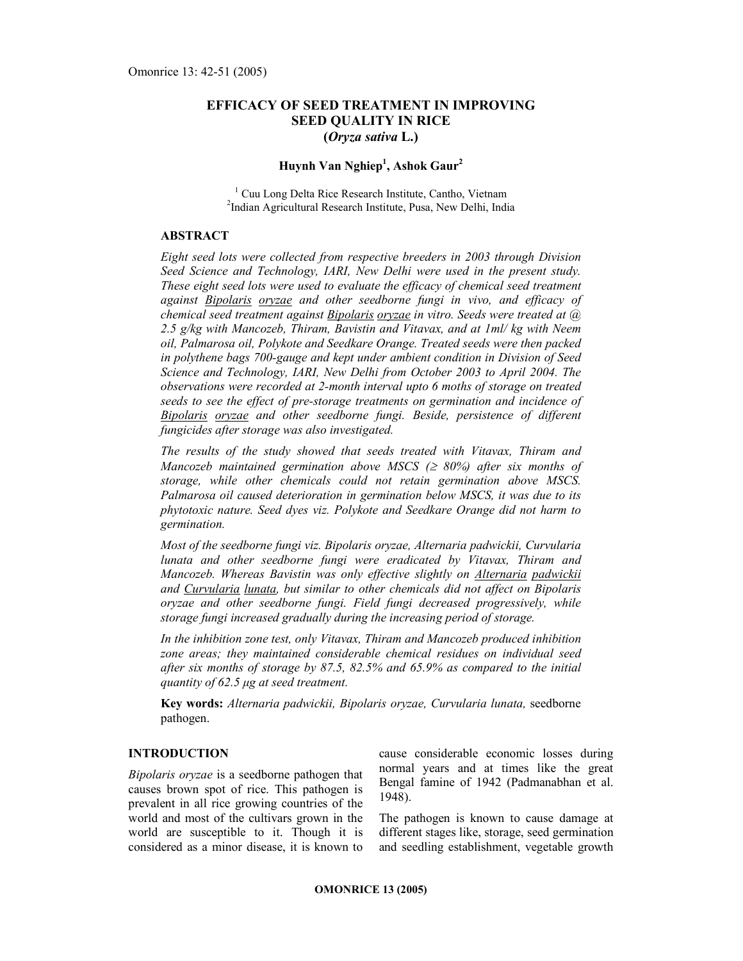# EFFICACY OF SEED TREATMENT IN IMPROVING SEED QUALITY IN RICE (Oryza sativa L.)

# Huynh Van Nghiep<sup>1</sup>, Ashok Gaur<sup>2</sup>

<sup>1</sup> Cuu Long Delta Rice Research Institute, Cantho, Vietnam 2 Indian Agricultural Research Institute, Pusa, New Delhi, India

## ABSTRACT

Eight seed lots were collected from respective breeders in 2003 through Division Seed Science and Technology, IARI, New Delhi were used in the present study. These eight seed lots were used to evaluate the efficacy of chemical seed treatment against **Bipolaris oryzae** and other seedborne fungi in vivo, and efficacy of chemical seed treatment against Bipolaris oryzae in vitro. Seeds were treated at  $(a)$ 2.5 g/kg with Mancozeb, Thiram, Bavistin and Vitavax, and at  $Im\ell$  kg with Neem oil, Palmarosa oil, Polykote and Seedkare Orange. Treated seeds were then packed in polythene bags 700-gauge and kept under ambient condition in Division of Seed Science and Technology, IARI, New Delhi from October 2003 to April 2004. The observations were recorded at 2-month interval upto 6 moths of storage on treated seeds to see the effect of pre-storage treatments on germination and incidence of Bipolaris oryzae and other seedborne fungi. Beside, persistence of different fungicides after storage was also investigated.

The results of the study showed that seeds treated with Vitavax, Thiram and Mancozeb maintained germination above MSCS ( $\geq$  80%) after six months of storage, while other chemicals could not retain germination above MSCS. Palmarosa oil caused deterioration in germination below MSCS, it was due to its phytotoxic nature. Seed dyes viz. Polykote and Seedkare Orange did not harm to germination.

Most of the seedborne fungi viz. Bipolaris oryzae, Alternaria padwickii, Curvularia lunata and other seedborne fungi were eradicated by Vitavax, Thiram and Mancozeb. Whereas Bavistin was only effective slightly on Alternaria padwickii and Curvularia lunata, but similar to other chemicals did not affect on Bipolaris oryzae and other seedborne fungi. Field fungi decreased progressively, while storage fungi increased gradually during the increasing period of storage.

In the inhibition zone test, only Vitavax, Thiram and Mancozeb produced inhibition zone areas; they maintained considerable chemical residues on individual seed after six months of storage by 87.5, 82.5% and 65.9% as compared to the initial quantity of 62.5 µg at seed treatment.

Key words: Alternaria padwickii, Bipolaris oryzae, Curvularia lunata, seedborne pathogen.

## INTRODUCTION

Bipolaris oryzae is a seedborne pathogen that causes brown spot of rice. This pathogen is prevalent in all rice growing countries of the world and most of the cultivars grown in the world are susceptible to it. Though it is considered as a minor disease, it is known to cause considerable economic losses during normal years and at times like the great Bengal famine of 1942 (Padmanabhan et al. 1948).

The pathogen is known to cause damage at different stages like, storage, seed germination and seedling establishment, vegetable growth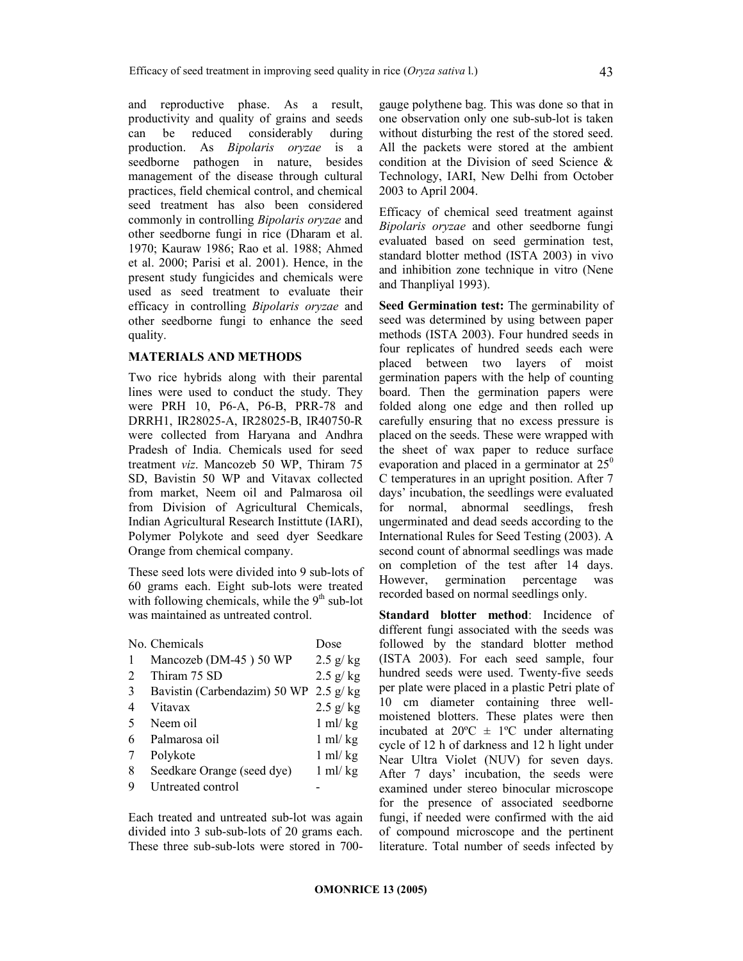and reproductive phase. As a result, productivity and quality of grains and seeds<br>can be reduced considerably during be reduced considerably during production. As Bipolaris oryzae is a seedborne pathogen in nature, besides management of the disease through cultural practices, field chemical control, and chemical seed treatment has also been considered commonly in controlling Bipolaris oryzae and other seedborne fungi in rice (Dharam et al. 1970; Kauraw 1986; Rao et al. 1988; Ahmed et al. 2000; Parisi et al. 2001). Hence, in the present study fungicides and chemicals were used as seed treatment to evaluate their efficacy in controlling Bipolaris oryzae and other seedborne fungi to enhance the seed quality.

## MATERIALS AND METHODS

Two rice hybrids along with their parental lines were used to conduct the study. They were PRH 10, P6-A, P6-B, PRR-78 and DRRH1, IR28025-A, IR28025-B, IR40750-R were collected from Haryana and Andhra Pradesh of India. Chemicals used for seed treatment viz. Mancozeb 50 WP, Thiram 75 SD, Bavistin 50 WP and Vitavax collected from market, Neem oil and Palmarosa oil from Division of Agricultural Chemicals, Indian Agricultural Research Instittute (IARI), Polymer Polykote and seed dyer Seedkare Orange from chemical company.

These seed lots were divided into 9 sub-lots of 60 grams each. Eight sub-lots were treated with following chemicals, while the  $9<sup>th</sup>$  sub-lot was maintained as untreated control.

|    | No. Chemicals                         | Dose                  |
|----|---------------------------------------|-----------------------|
| 1  | Mancozeb (DM-45) 50 WP                | $2.5 \text{ g/kg}$    |
| 2  | Thiram 75 SD                          | $2.5$ g/kg            |
| 3  | Bavistin (Carbendazim) 50 WP 2.5 g/kg |                       |
| 4  | Vitavax                               | $2.5$ g/kg            |
| .5 | Neem oil                              | $1 \text{ ml}$ / $kg$ |
| 6  | Palmarosa oil                         | $1$ ml/ $kg$          |
| 7  | Polykote                              | $1$ ml/ $kg$          |
| 8  | Seedkare Orange (seed dye)            | $1$ ml/ $kg$          |
| 9  | Untreated control                     |                       |

Each treated and untreated sub-lot was again divided into 3 sub-sub-lots of 20 grams each. These three sub-sub-lots were stored in 700gauge polythene bag. This was done so that in one observation only one sub-sub-lot is taken without disturbing the rest of the stored seed. All the packets were stored at the ambient condition at the Division of seed Science & Technology, IARI, New Delhi from October 2003 to April 2004.

Efficacy of chemical seed treatment against Bipolaris oryzae and other seedborne fungi evaluated based on seed germination test, standard blotter method (ISTA 2003) in vivo and inhibition zone technique in vitro (Nene and Thanpliyal 1993).

Seed Germination test: The germinability of seed was determined by using between paper methods (ISTA 2003). Four hundred seeds in four replicates of hundred seeds each were placed between two layers of moist germination papers with the help of counting board. Then the germination papers were folded along one edge and then rolled up carefully ensuring that no excess pressure is placed on the seeds. These were wrapped with the sheet of wax paper to reduce surface evaporation and placed in a germinator at  $25^{\circ}$ C temperatures in an upright position. After 7 days' incubation, the seedlings were evaluated for normal, abnormal seedlings, fresh ungerminated and dead seeds according to the International Rules for Seed Testing (2003). A second count of abnormal seedlings was made on completion of the test after 14 days. However, germination percentage was recorded based on normal seedlings only.

Standard blotter method: Incidence of different fungi associated with the seeds was followed by the standard blotter method (ISTA 2003). For each seed sample, four hundred seeds were used. Twenty-five seeds per plate were placed in a plastic Petri plate of 10 cm diameter containing three wellmoistened blotters. These plates were then incubated at  $20^{\circ}\text{C} \pm 1^{\circ}\text{C}$  under alternating cycle of 12 h of darkness and 12 h light under Near Ultra Violet (NUV) for seven days. After 7 days' incubation, the seeds were examined under stereo binocular microscope for the presence of associated seedborne fungi, if needed were confirmed with the aid of compound microscope and the pertinent literature. Total number of seeds infected by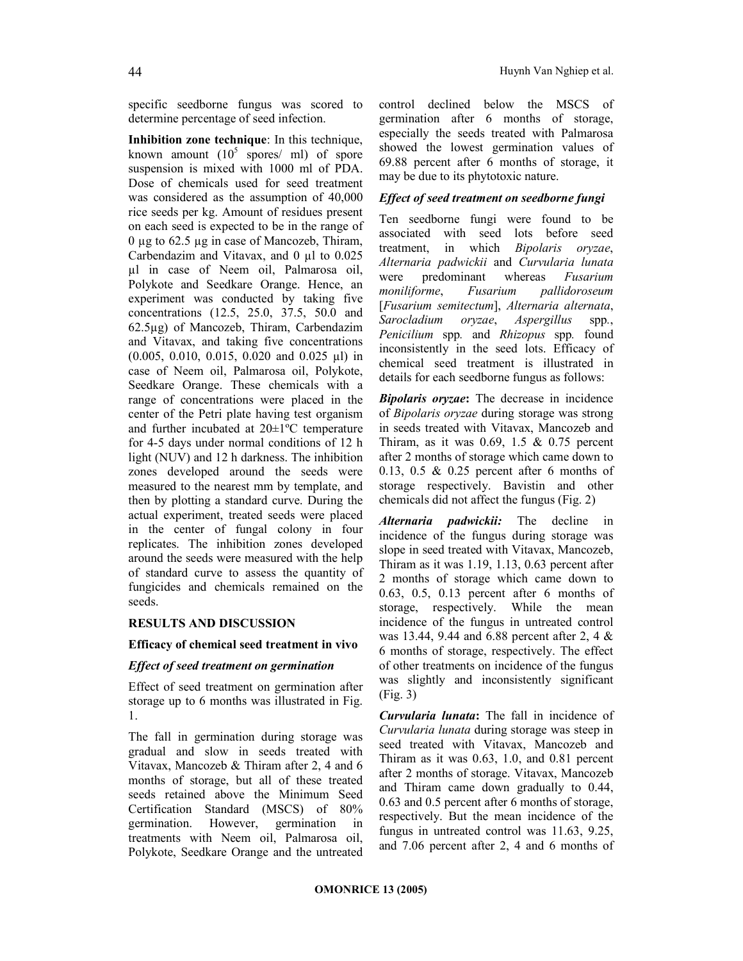specific seedborne fungus was scored to determine percentage of seed infection.

Inhibition zone technique: In this technique, known amount  $(10^5 \text{ spores/ ml})$  of spore suspension is mixed with 1000 ml of PDA. Dose of chemicals used for seed treatment was considered as the assumption of 40,000 rice seeds per kg. Amount of residues present on each seed is expected to be in the range of 0 µg to 62.5 µg in case of Mancozeb, Thiram, Carbendazim and Vitavax, and  $0 \mu l$  to  $0.025$ µl in case of Neem oil, Palmarosa oil, Polykote and Seedkare Orange. Hence, an experiment was conducted by taking five concentrations (12.5, 25.0, 37.5, 50.0 and 62.5µg) of Mancozeb, Thiram, Carbendazim and Vitavax, and taking five concentrations (0.005, 0.010, 0.015, 0.020 and 0.025 µl) in case of Neem oil, Palmarosa oil, Polykote, Seedkare Orange. These chemicals with a range of concentrations were placed in the center of the Petri plate having test organism and further incubated at 20±1ºC temperature for 4-5 days under normal conditions of 12 h light (NUV) and 12 h darkness. The inhibition zones developed around the seeds were measured to the nearest mm by template, and then by plotting a standard curve. During the actual experiment, treated seeds were placed in the center of fungal colony in four replicates. The inhibition zones developed around the seeds were measured with the help of standard curve to assess the quantity of fungicides and chemicals remained on the seeds.

## RESULTS AND DISCUSSION

## Efficacy of chemical seed treatment in vivo

## Effect of seed treatment on germination

Effect of seed treatment on germination after storage up to 6 months was illustrated in Fig. 1.

The fall in germination during storage was gradual and slow in seeds treated with Vitavax, Mancozeb & Thiram after 2, 4 and 6 months of storage, but all of these treated seeds retained above the Minimum Seed Certification Standard (MSCS) of 80% germination. However, germination in treatments with Neem oil, Palmarosa oil, Polykote, Seedkare Orange and the untreated control declined below the MSCS of germination after 6 months of storage, especially the seeds treated with Palmarosa showed the lowest germination values of 69.88 percent after 6 months of storage, it may be due to its phytotoxic nature.

## Effect of seed treatment on seedborne fungi

Ten seedborne fungi were found to be associated with seed lots before seed treatment, in which Bipolaris oryzae, Alternaria padwickii and Curvularia lunata were predominant whereas Fusarium moniliforme, Fusarium pallidoroseum [Fusarium semitectum], Alternaria alternata, Sarocladium oryzae, Aspergillus spp., Penicilium spp. and Rhizopus spp. found inconsistently in the seed lots. Efficacy of chemical seed treatment is illustrated in details for each seedborne fungus as follows:

**Bipolaris oryzae:** The decrease in incidence of Bipolaris oryzae during storage was strong in seeds treated with Vitavax, Mancozeb and Thiram, as it was  $0.69$ , 1.5 &  $0.75$  percent after 2 months of storage which came down to 0.13, 0.5 & 0.25 percent after 6 months of storage respectively. Bavistin and other chemicals did not affect the fungus (Fig. 2)

Alternaria padwickii: The decline in incidence of the fungus during storage was slope in seed treated with Vitavax, Mancozeb, Thiram as it was 1.19, 1.13, 0.63 percent after 2 months of storage which came down to 0.63, 0.5, 0.13 percent after 6 months of storage, respectively. While the mean incidence of the fungus in untreated control was 13.44, 9.44 and 6.88 percent after 2, 4 & 6 months of storage, respectively. The effect of other treatments on incidence of the fungus was slightly and inconsistently significant (Fig. 3)

Curvularia lunata: The fall in incidence of Curvularia lunata during storage was steep in seed treated with Vitavax, Mancozeb and Thiram as it was 0.63, 1.0, and 0.81 percent after 2 months of storage. Vitavax, Mancozeb and Thiram came down gradually to 0.44, 0.63 and 0.5 percent after 6 months of storage, respectively. But the mean incidence of the fungus in untreated control was 11.63, 9.25, and 7.06 percent after 2, 4 and 6 months of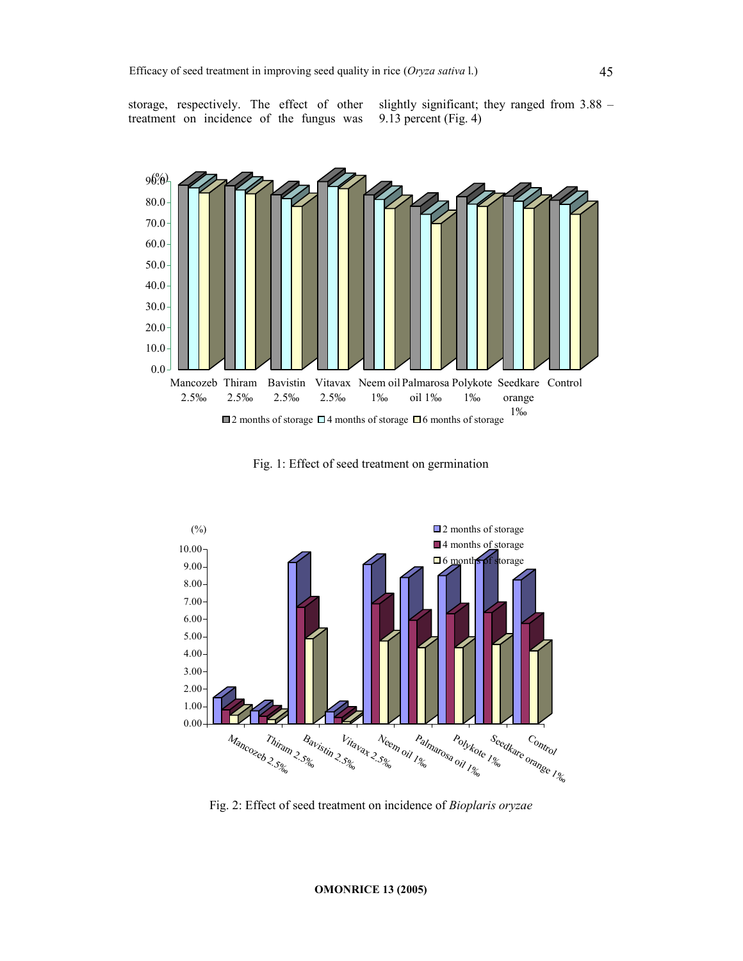

storage, respectively. The effect of other treatment on incidence of the fungus was

slightly significant; they ranged from 3.88 – 9.13 percent (Fig. 4)



Fig. 1: Effect of seed treatment on germination



Fig. 2: Effect of seed treatment on incidence of Bioplaris oryzae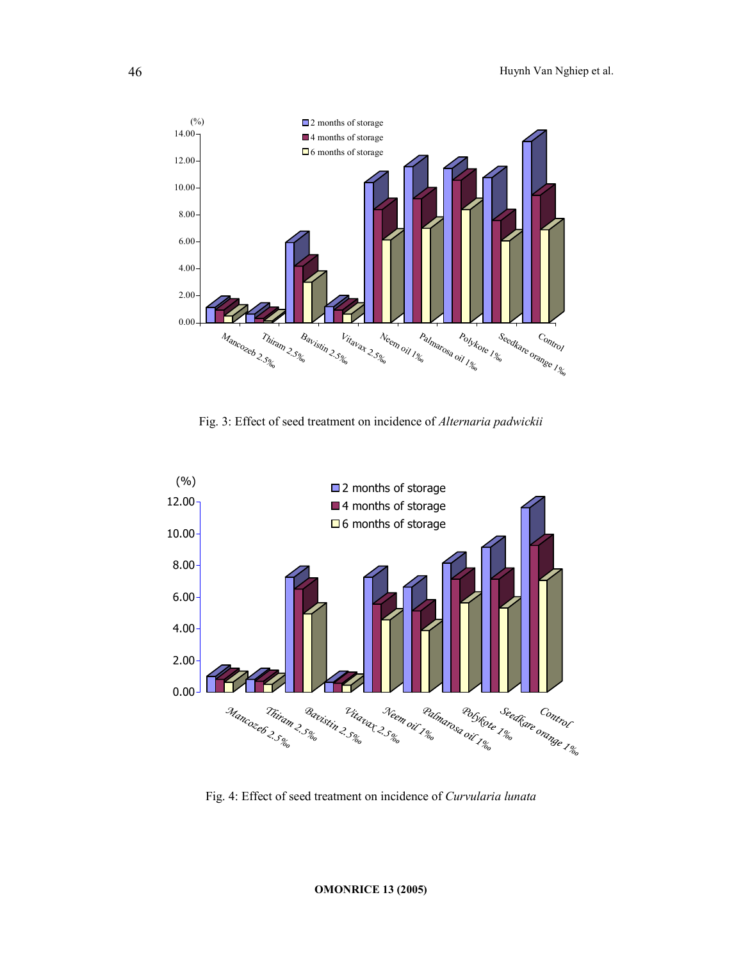

Fig. 3: Effect of seed treatment on incidence of Alternaria padwickii



Fig. 4: Effect of seed treatment on incidence of Curvularia lunata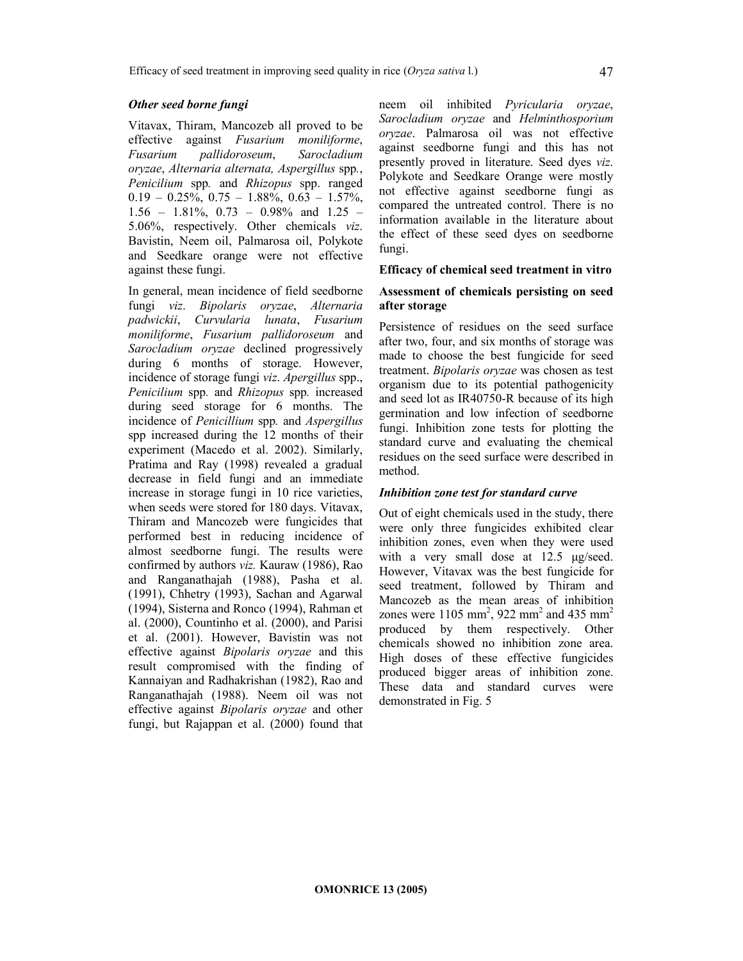#### Other seed borne fungi

Vitavax, Thiram, Mancozeb all proved to be effective against Fusarium moniliforme, Fusarium pallidoroseum, Sarocladium oryzae, Alternaria alternata, Aspergillus spp., Penicilium spp. and Rhizopus spp. ranged  $0.19 - 0.25\%$ ,  $0.75 - 1.88\%$ ,  $0.63 - 1.57\%$ , 1.56 – 1.81%, 0.73 – 0.98% and 1.25 – 5.06%, respectively. Other chemicals viz. Bavistin, Neem oil, Palmarosa oil, Polykote and Seedkare orange were not effective against these fungi.

In general, mean incidence of field seedborne fungi viz. Bipolaris oryzae, Alternaria padwickii, Curvularia lunata, Fusarium moniliforme, Fusarium pallidoroseum and Sarocladium oryzae declined progressively during 6 months of storage. However, incidence of storage fungi viz. Apergillus spp., Penicilium spp. and Rhizopus spp. increased during seed storage for 6 months. The incidence of Penicillium spp. and Aspergillus spp increased during the 12 months of their experiment (Macedo et al. 2002). Similarly, Pratima and Ray (1998) revealed a gradual decrease in field fungi and an immediate increase in storage fungi in 10 rice varieties, when seeds were stored for 180 days. Vitavax, Thiram and Mancozeb were fungicides that performed best in reducing incidence of almost seedborne fungi. The results were confirmed by authors viz. Kauraw (1986), Rao and Ranganathajah (1988), Pasha et al. (1991), Chhetry (1993), Sachan and Agarwal (1994), Sisterna and Ronco (1994), Rahman et al. (2000), Countinho et al. (2000), and Parisi et al. (2001). However, Bavistin was not effective against Bipolaris oryzae and this result compromised with the finding of Kannaiyan and Radhakrishan (1982), Rao and Ranganathajah (1988). Neem oil was not effective against Bipolaris oryzae and other fungi, but Rajappan et al. (2000) found that

neem oil inhibited Pyricularia oryzae, Sarocladium oryzae and Helminthosporium oryzae. Palmarosa oil was not effective against seedborne fungi and this has not presently proved in literature. Seed dyes viz. Polykote and Seedkare Orange were mostly not effective against seedborne fungi as compared the untreated control. There is no information available in the literature about the effect of these seed dyes on seedborne fungi.

## Efficacy of chemical seed treatment in vitro

## Assessment of chemicals persisting on seed after storage

Persistence of residues on the seed surface after two, four, and six months of storage was made to choose the best fungicide for seed treatment. Bipolaris oryzae was chosen as test organism due to its potential pathogenicity and seed lot as IR40750-R because of its high germination and low infection of seedborne fungi. Inhibition zone tests for plotting the standard curve and evaluating the chemical residues on the seed surface were described in method.

## Inhibition zone test for standard curve

Out of eight chemicals used in the study, there were only three fungicides exhibited clear inhibition zones, even when they were used with a very small dose at 12.5  $\mu$ g/seed. However, Vitavax was the best fungicide for seed treatment, followed by Thiram and Mancozeb as the mean areas of inhibition zones were  $1105 \text{ mm}^2$ , 922 mm<sup>2</sup> and 435 mm<sup>2</sup> produced by them respectively. Other chemicals showed no inhibition zone area. High doses of these effective fungicides produced bigger areas of inhibition zone. These data and standard curves were demonstrated in Fig. 5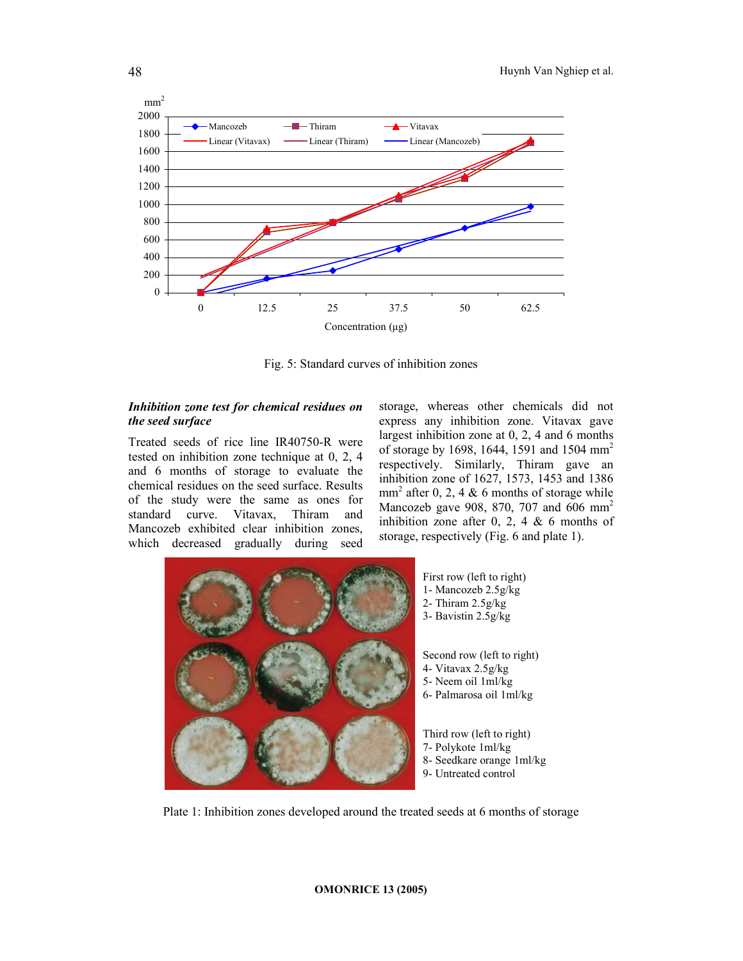

Fig. 5: Standard curves of inhibition zones

## Inhibition zone test for chemical residues on the seed surface

Treated seeds of rice line IR40750-R were tested on inhibition zone technique at 0, 2, 4 and 6 months of storage to evaluate the chemical residues on the seed surface. Results of the study were the same as ones for<br>standard curve. Vitavax, Thiram and standard curve. Vitavax, Thiram and Mancozeb exhibited clear inhibition zones, which decreased gradually during seed storage, whereas other chemicals did not express any inhibition zone. Vitavax gave largest inhibition zone at 0, 2, 4 and 6 months of storage by 1698, 1644, 1591 and 1504 mm<sup>2</sup> respectively. Similarly, Thiram gave an inhibition zone of 1627, 1573, 1453 and 1386  $mm<sup>2</sup>$  after 0, 2, 4 & 6 months of storage while Mancozeb gave 908, 870, 707 and 606 mm<sup>2</sup> inhibition zone after 0, 2, 4 & 6 months of storage, respectively (Fig. 6 and plate 1).



Plate 1: Inhibition zones developed around the treated seeds at 6 months of storage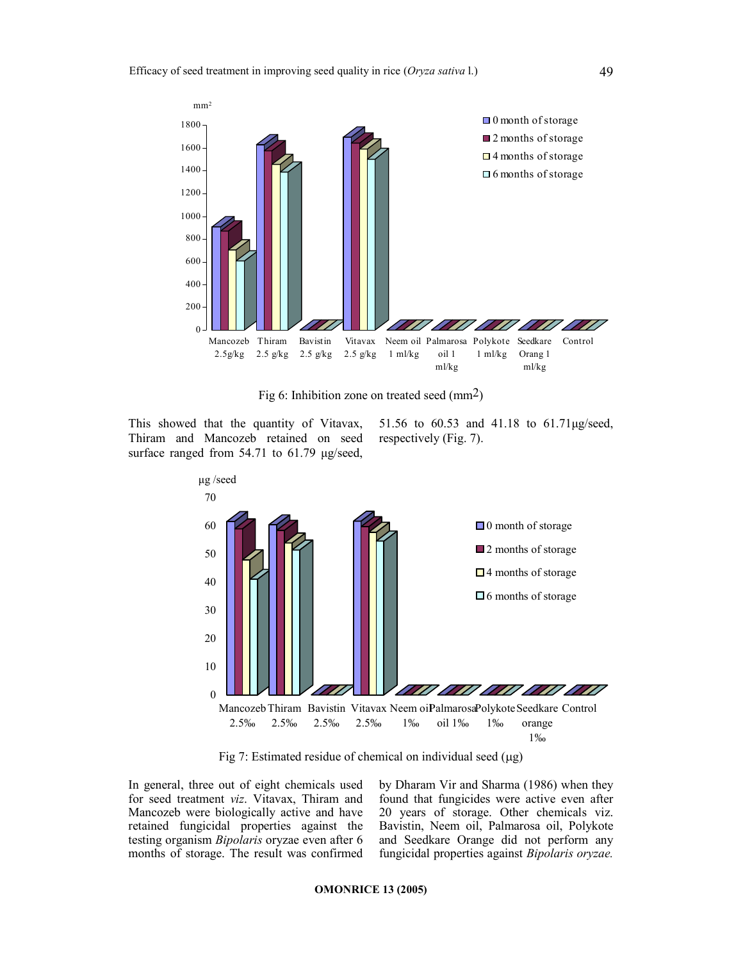

Fig 6: Inhibition zone on treated seed (mm2)

This showed that the quantity of Vitavax, Thiram and Mancozeb retained on seed surface ranged from 54.71 to 61.79 µg/seed,

51.56 to 60.53 and 41.18 to 61.71µg/seed, respectively (Fig. 7).



Fig 7: Estimated residue of chemical on individual seed (µg)

In general, three out of eight chemicals used for seed treatment viz. Vitavax, Thiram and Mancozeb were biologically active and have retained fungicidal properties against the testing organism Bipolaris oryzae even after 6 months of storage. The result was confirmed by Dharam Vir and Sharma (1986) when they found that fungicides were active even after 20 years of storage. Other chemicals viz. Bavistin, Neem oil, Palmarosa oil, Polykote and Seedkare Orange did not perform any fungicidal properties against Bipolaris oryzae.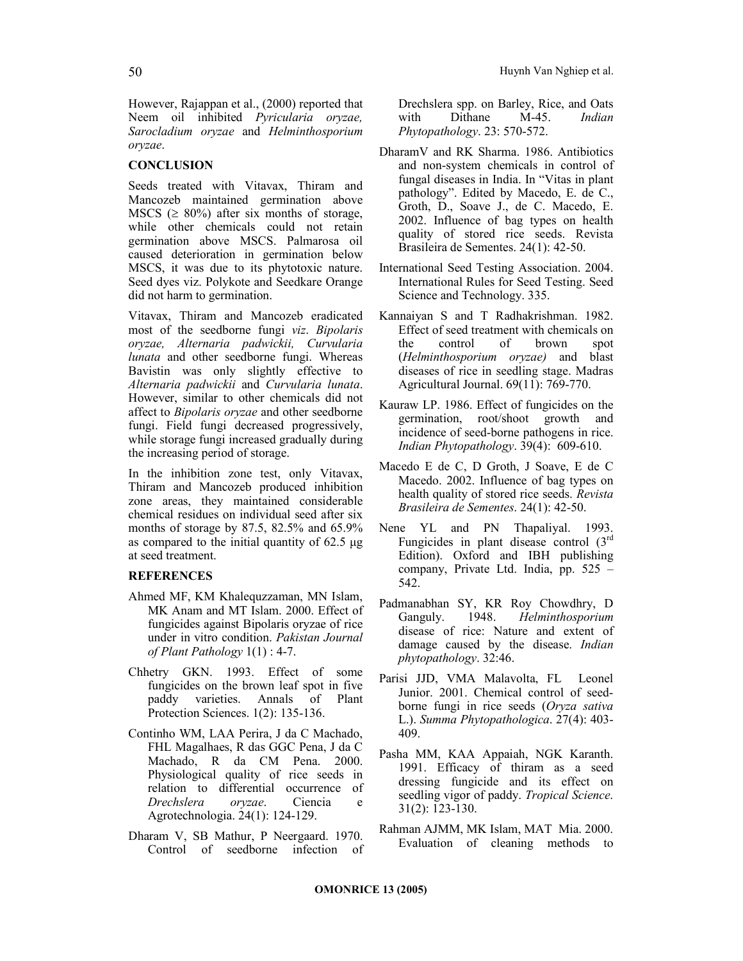However, Rajappan et al., (2000) reported that Neem oil inhibited Pyricularia oryzae, Sarocladium oryzae and Helminthosporium oryzae.

### **CONCLUSION**

Seeds treated with Vitavax, Thiram and Mancozeb maintained germination above MSCS ( $\geq 80\%$ ) after six months of storage, while other chemicals could not retain germination above MSCS. Palmarosa oil caused deterioration in germination below MSCS, it was due to its phytotoxic nature. Seed dyes viz. Polykote and Seedkare Orange did not harm to germination.

Vitavax, Thiram and Mancozeb eradicated most of the seedborne fungi viz. Bipolaris oryzae, Alternaria padwickii, Curvularia lunata and other seedborne fungi. Whereas Bavistin was only slightly effective to Alternaria padwickii and Curvularia lunata. However, similar to other chemicals did not affect to Bipolaris oryzae and other seedborne fungi. Field fungi decreased progressively, while storage fungi increased gradually during the increasing period of storage.

In the inhibition zone test, only Vitavax, Thiram and Mancozeb produced inhibition zone areas, they maintained considerable chemical residues on individual seed after six months of storage by 87.5, 82.5% and 65.9% as compared to the initial quantity of 62.5 µg at seed treatment.

#### REFERENCES

- Ahmed MF, KM Khalequzzaman, MN Islam, MK Anam and MT Islam. 2000. Effect of fungicides against Bipolaris oryzae of rice under in vitro condition. Pakistan Journal of Plant Pathology 1(1) : 4-7.
- Chhetry GKN. 1993. Effect of some fungicides on the brown leaf spot in five<br>paddy varieties. Annals of Plant paddy varieties. Annals of Plant Protection Sciences. 1(2): 135-136.
- Continho WM, LAA Perira, J da C Machado, FHL Magalhaes, R das GGC Pena, J da C Machado, R da CM Pena. 2000. Physiological quality of rice seeds in relation to differential occurrence of Drechslera oryzae. Ciencia e Agrotechnologia. 24(1): 124-129.
- Dharam V, SB Mathur, P Neergaard. 1970. Control of seedborne infection of

Drechslera spp. on Barley, Rice, and Oats with Dithane M-45. Indian Phytopathology. 23: 570-572.

- DharamV and RK Sharma. 1986. Antibiotics and non-system chemicals in control of fungal diseases in India. In "Vitas in plant pathology". Edited by Macedo, E. de C., Groth, D., Soave J., de C. Macedo, E. 2002. Influence of bag types on health quality of stored rice seeds. Revista Brasileira de Sementes. 24(1): 42-50.
- International Seed Testing Association. 2004. International Rules for Seed Testing. Seed Science and Technology. 335.
- Kannaiyan S and T Radhakrishman. 1982. Effect of seed treatment with chemicals on the control of brown spot (Helminthosporium oryzae) and blast diseases of rice in seedling stage. Madras Agricultural Journal. 69(11): 769-770.
- Kauraw LP. 1986. Effect of fungicides on the germination, root/shoot growth and incidence of seed-borne pathogens in rice. Indian Phytopathology. 39(4): 609-610.
- Macedo E de C, D Groth, J Soave, E de C Macedo. 2002. Influence of bag types on health quality of stored rice seeds. Revista Brasileira de Sementes. 24(1): 42-50.
- Nene YL and PN Thapaliyal. 1993. Fungicides in plant disease control  $(3<sup>rd</sup>)$ Edition). Oxford and IBH publishing company, Private Ltd. India, pp. 525 – 542.
- Padmanabhan SY, KR Roy Chowdhry, D Ganguly. 1948. Helminthosporium disease of rice: Nature and extent of damage caused by the disease. Indian phytopathology. 32:46.
- Parisi JJD, VMA Malavolta, FL Leonel Junior. 2001. Chemical control of seedborne fungi in rice seeds (Oryza sativa L.). Summa Phytopathologica. 27(4): 403- 409.
- Pasha MM, KAA Appaiah, NGK Karanth. 1991. Efficacy of thiram as a seed dressing fungicide and its effect on seedling vigor of paddy. Tropical Science. 31(2): 123-130.
- Rahman AJMM, MK Islam, MAT Mia. 2000. Evaluation of cleaning methods to